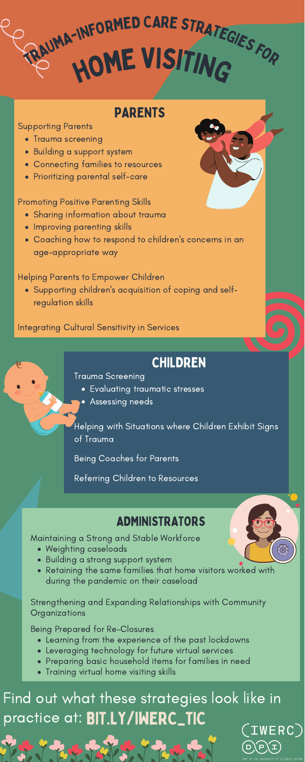# HOME VISITING TRAUMA-INFORMED CARE STRATEGIES FOR

# PARENTS

# ADMINISTRATORS

- Weighting caseloads
- Building a strong support system
- Retaining the same families that home visitors worked with during the pandemic on their caseload

Strengthening and Expanding Relationships with Community **Organizations** 

- Learning from the experience of the past lockdowns
- Leveraging technology for future virtual services
- Preparing basic household items for families in need
- Training virtual home visiting skills

Port Part Tall of The Tax

- Trauma screening
- Building a support system
- Connecting families to resources
- Prioritizing parental self-care

Maintaining a Strong and Stable Workforce

#### Being Prepared for Re-Closures

- Sharing information about trauma
- Improving parenting skills
- Coaching how to respond to children ' s concerns in an age-appropriate way

Supporting children ' s acquisition of coping and selfregulation skills

## Supporting Parents

## Promoting Positive Parenting Skills

### Helping Parents to Empower Children

# Integrating Cultural Sensitivity in Services

# CHILDREN

- Evaluating traumatic stresses
- Assessing needs

Trauma Screening

Helping with Situations where Children Exhibit Signs of Trauma

Being Coaches for Parents

Referring Children to Resources

# Find out what these strategies look like in practice at: BIT.LY/IWERC\_TIC